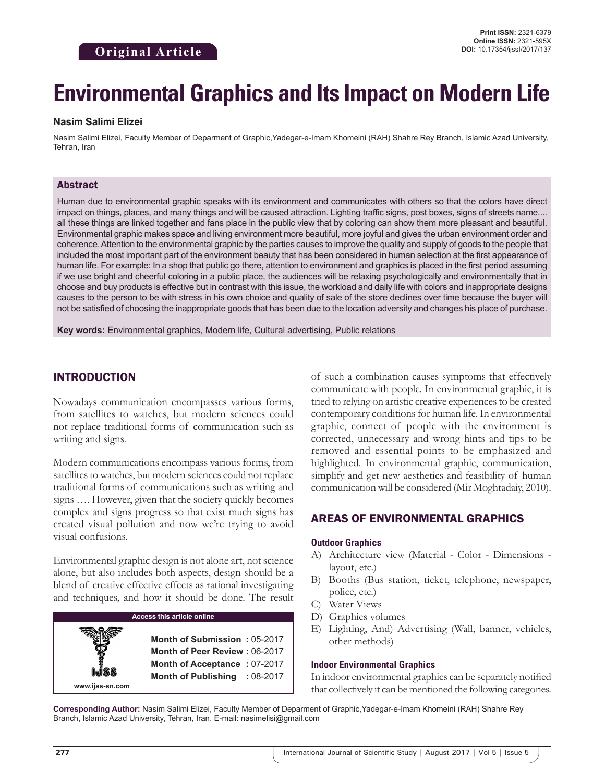# **Environmental Graphics and Its Impact on Modern Life**

#### **Nasim Salimi Elizei**

Nasim Salimi Elizei, Faculty Member of Deparment of Graphic,Yadegar-e-Imam Khomeini (RAH) Shahre Rey Branch, Islamic Azad University, Tehran, Iran

#### Abstract

Human due to environmental graphic speaks with its environment and communicates with others so that the colors have direct impact on things, places, and many things and will be caused attraction. Lighting traffic signs, post boxes, signs of streets name.... all these things are linked together and fans place in the public view that by coloring can show them more pleasant and beautiful. Environmental graphic makes space and living environment more beautiful, more joyful and gives the urban environment order and coherence. Attention to the environmental graphic by the parties causes to improve the quality and supply of goods to the people that included the most important part of the environment beauty that has been considered in human selection at the first appearance of human life. For example: In a shop that public go there, attention to environment and graphics is placed in the first period assuming if we use bright and cheerful coloring in a public place, the audiences will be relaxing psychologically and environmentally that in choose and buy products is effective but in contrast with this issue, the workload and daily life with colors and inappropriate designs causes to the person to be with stress in his own choice and quality of sale of the store declines over time because the buyer will not be satisfied of choosing the inappropriate goods that has been due to the location adversity and changes his place of purchase.

**Key words:** Environmental graphics, Modern life, Cultural advertising, Public relations

## INTRODUCTION

Nowadays communication encompasses various forms, from satellites to watches, but modern sciences could not replace traditional forms of communication such as writing and signs.

Modern communications encompass various forms, from satellites to watches, but modern sciences could not replace traditional forms of communications such as writing and signs …. However, given that the society quickly becomes complex and signs progress so that exist much signs has created visual pollution and now we're trying to avoid visual confusions.

Environmental graphic design is not alone art, not science alone, but also includes both aspects, design should be a blend of creative effective effects as rational investigating and techniques, and how it should be done. The result



of such a combination causes symptoms that effectively communicate with people. In environmental graphic, it is tried to relying on artistic creative experiences to be created contemporary conditions for human life. In environmental graphic, connect of people with the environment is corrected, unnecessary and wrong hints and tips to be removed and essential points to be emphasized and highlighted. In environmental graphic, communication, simplify and get new aesthetics and feasibility of human communication will be considered (Mir Moghtadaiy, 2010).

## AREAS OF ENVIRONMENTAL GRAPHICS

#### **Outdoor Graphics**

- A) Architecture view (Material Color Dimensions layout, etc.)
- B) Booths (Bus station, ticket, telephone, newspaper, police, etc.)
- C) Water Views
- D) Graphics volumes
- E) Lighting, And) Advertising (Wall, banner, vehicles, other methods)

#### **Indoor Environmental Graphics**

In indoor environmental graphics can be separately notified that collectively it can be mentioned the following categories.

**Corresponding Author:** Nasim Salimi Elizei, Faculty Member of Deparment of Graphic,Yadegar-e-Imam Khomeini (RAH) Shahre Rey Branch, Islamic Azad University, Tehran, Iran. E-mail: nasimelisi@gmail.com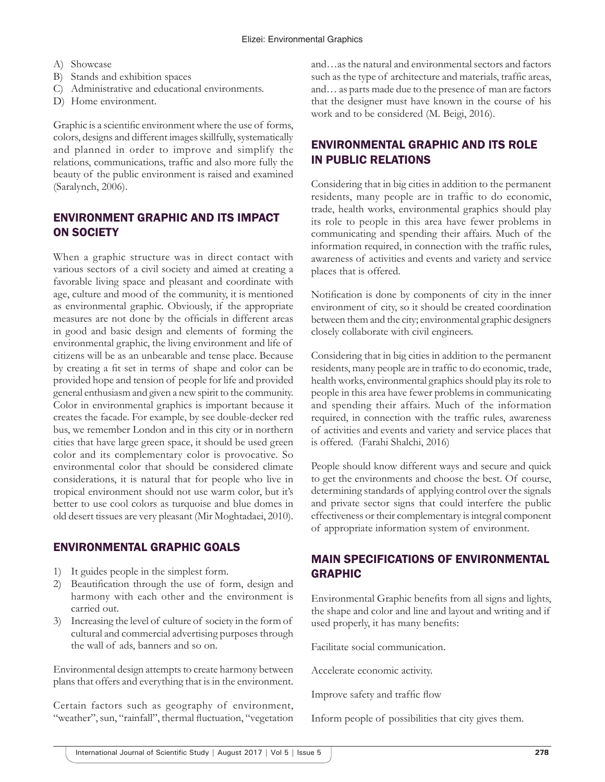- A) Showcase
- B) Stands and exhibition spaces
- C) Administrative and educational environments.
- D) Home environment.

Graphic is a scientific environment where the use of forms, colors, designs and different images skillfully, systematically and planned in order to improve and simplify the relations, communications, traffic and also more fully the beauty of the public environment is raised and examined (Saralynch, 2006).

# ENVIRONMENT GRAPHIC AND ITS IMPACT ON SOCIETY

When a graphic structure was in direct contact with various sectors of a civil society and aimed at creating a favorable living space and pleasant and coordinate with age, culture and mood of the community, it is mentioned as environmental graphic. Obviously, if the appropriate measures are not done by the officials in different areas in good and basic design and elements of forming the environmental graphic, the living environment and life of citizens will be as an unbearable and tense place. Because by creating a fit set in terms of shape and color can be provided hope and tension of people for life and provided general enthusiasm and given a new spirit to the community. Color in environmental graphics is important because it creates the facade. For example, by see double-decker red bus, we remember London and in this city or in northern cities that have large green space, it should be used green color and its complementary color is provocative. So environmental color that should be considered climate considerations, it is natural that for people who live in tropical environment should not use warm color, but it's better to use cool colors as turquoise and blue domes in old desert tissues are very pleasant (Mir Moghtadaei, 2010).

# ENVIRONMENTAL GRAPHIC GOALS

- 1) It guides people in the simplest form.
- 2) Beautification through the use of form, design and harmony with each other and the environment is carried out.
- 3) Increasing the level of culture of society in the form of cultural and commercial advertising purposes through the wall of ads, banners and so on.

Environmental design attempts to create harmony between plans that offers and everything that is in the environment.

Certain factors such as geography of environment, "weather", sun, "rainfall", thermal fluctuation, "vegetation and…as the natural and environmental sectors and factors such as the type of architecture and materials, traffic areas, and… as parts made due to the presence of man are factors that the designer must have known in the course of his work and to be considered (M. Beigi, 2016).

# ENVIRONMENTAL GRAPHIC AND ITS ROLE IN PUBLIC RELATIONS

Considering that in big cities in addition to the permanent residents, many people are in traffic to do economic, trade, health works, environmental graphics should play its role to people in this area have fewer problems in communicating and spending their affairs. Much of the information required, in connection with the traffic rules, awareness of activities and events and variety and service places that is offered.

Notification is done by components of city in the inner environment of city, so it should be created coordination between them and the city; environmental graphic designers closely collaborate with civil engineers.

Considering that in big cities in addition to the permanent residents, many people are in traffic to do economic, trade, health works, environmental graphics should play its role to people in this area have fewer problems in communicating and spending their affairs. Much of the information required, in connection with the traffic rules, awareness of activities and events and variety and service places that is offered. (Farahi Shalchi, 2016)

People should know different ways and secure and quick to get the environments and choose the best. Of course, determining standards of applying control over the signals and private sector signs that could interfere the public effectiveness or their complementary is integral component of appropriate information system of environment.

# MAIN SPECIFICATIONS OF ENVIRONMENTAL GRAPHIC

Environmental Graphic benefits from all signs and lights, the shape and color and line and layout and writing and if used properly, it has many benefits:

Facilitate social communication.

Accelerate economic activity.

Improve safety and traffic flow

Inform people of possibilities that city gives them.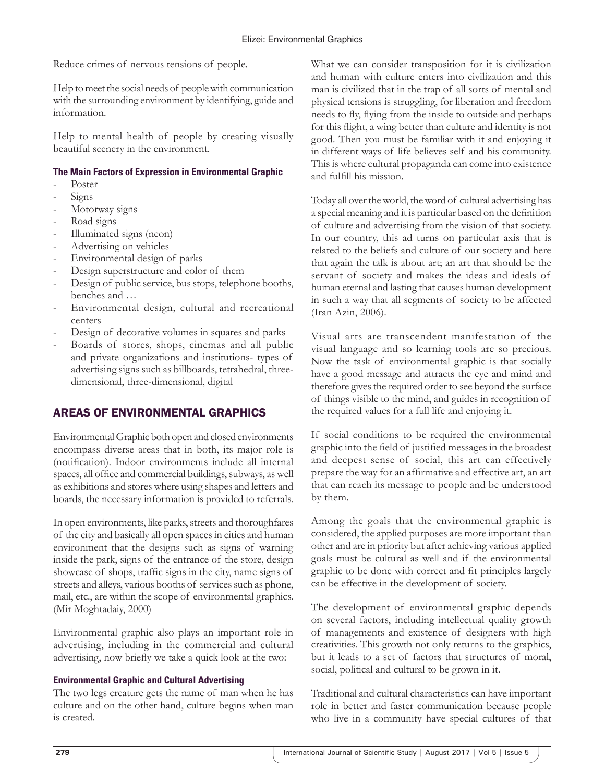Reduce crimes of nervous tensions of people.

Help to meet the social needs of people with communication with the surrounding environment by identifying, guide and information.

Help to mental health of people by creating visually beautiful scenery in the environment.

### **The Main Factors of Expression in Environmental Graphic**

- Poster
- Signs
- Motorway signs
- Road signs
- Illuminated signs (neon)
- Advertising on vehicles
- Environmental design of parks
- Design superstructure and color of them
- Design of public service, bus stops, telephone booths, benches and …
- Environmental design, cultural and recreational centers
- Design of decorative volumes in squares and parks
- Boards of stores, shops, cinemas and all public and private organizations and institutions- types of advertising signs such as billboards, tetrahedral, threedimensional, three-dimensional, digital

# AREAS OF ENVIRONMENTAL GRAPHICS

Environmental Graphic both open and closed environments encompass diverse areas that in both, its major role is (notification). Indoor environments include all internal spaces, all office and commercial buildings, subways, as well as exhibitions and stores where using shapes and letters and boards, the necessary information is provided to referrals.

In open environments, like parks, streets and thoroughfares of the city and basically all open spaces in cities and human environment that the designs such as signs of warning inside the park, signs of the entrance of the store, design showcase of shops, traffic signs in the city, name signs of streets and alleys, various booths of services such as phone, mail, etc., are within the scope of environmental graphics. (Mir Moghtadaiy, 2000)

Environmental graphic also plays an important role in advertising, including in the commercial and cultural advertising, now briefly we take a quick look at the two:

### **Environmental Graphic and Cultural Advertising**

The two legs creature gets the name of man when he has culture and on the other hand, culture begins when man is created.

What we can consider transposition for it is civilization and human with culture enters into civilization and this man is civilized that in the trap of all sorts of mental and physical tensions is struggling, for liberation and freedom needs to fly, flying from the inside to outside and perhaps for this flight, a wing better than culture and identity is not good. Then you must be familiar with it and enjoying it in different ways of life believes self and his community. This is where cultural propaganda can come into existence and fulfill his mission.

Today all over the world, the word of cultural advertising has a special meaning and it is particular based on the definition of culture and advertising from the vision of that society. In our country, this ad turns on particular axis that is related to the beliefs and culture of our society and here that again the talk is about art; an art that should be the servant of society and makes the ideas and ideals of human eternal and lasting that causes human development in such a way that all segments of society to be affected (Iran Azin, 2006).

Visual arts are transcendent manifestation of the visual language and so learning tools are so precious. Now the task of environmental graphic is that socially have a good message and attracts the eye and mind and therefore gives the required order to see beyond the surface of things visible to the mind, and guides in recognition of the required values for a full life and enjoying it.

If social conditions to be required the environmental graphic into the field of justified messages in the broadest and deepest sense of social, this art can effectively prepare the way for an affirmative and effective art, an art that can reach its message to people and be understood by them.

Among the goals that the environmental graphic is considered, the applied purposes are more important than other and are in priority but after achieving various applied goals must be cultural as well and if the environmental graphic to be done with correct and fit principles largely can be effective in the development of society.

The development of environmental graphic depends on several factors, including intellectual quality growth of managements and existence of designers with high creativities. This growth not only returns to the graphics, but it leads to a set of factors that structures of moral, social, political and cultural to be grown in it.

Traditional and cultural characteristics can have important role in better and faster communication because people who live in a community have special cultures of that